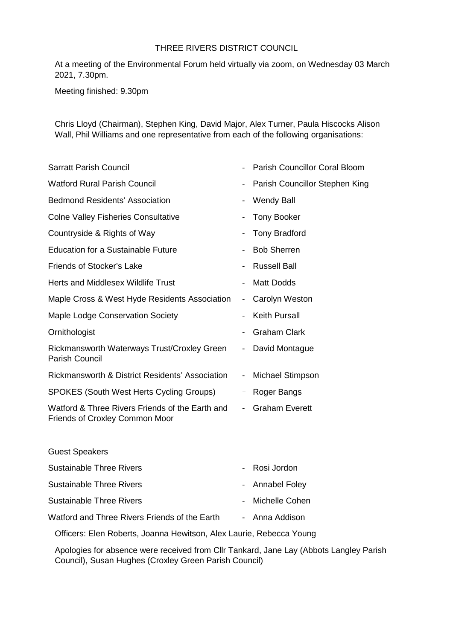## THREE RIVERS DISTRICT COUNCIL

At a meeting of the Environmental Forum held virtually via zoom, on Wednesday 03 March 2021, 7.30pm.

Meeting finished: 9.30pm

Chris Lloyd (Chairman), Stephen King, David Major, Alex Turner, Paula Hiscocks Alison Wall, Phil Williams and one representative from each of the following organisations:

|                              | Parish Councillor Coral Bloom                                       |
|------------------------------|---------------------------------------------------------------------|
| $\qquad \qquad \blacksquare$ | Parish Councillor Stephen King                                      |
|                              | <b>Wendy Ball</b>                                                   |
|                              | <b>Tony Booker</b>                                                  |
| $\qquad \qquad \blacksquare$ | <b>Tony Bradford</b>                                                |
|                              | <b>Bob Sherren</b>                                                  |
|                              | <b>Russell Ball</b>                                                 |
|                              | <b>Matt Dodds</b>                                                   |
| $\blacksquare$               | Carolyn Weston                                                      |
|                              | <b>Keith Pursall</b>                                                |
|                              | <b>Graham Clark</b>                                                 |
| $\blacksquare$               | David Montague                                                      |
| $\qquad \qquad \blacksquare$ | Michael Stimpson                                                    |
| $\qquad \qquad =$            | Roger Bangs                                                         |
|                              | <b>Graham Everett</b>                                               |
|                              |                                                                     |
|                              | Rosi Jordon                                                         |
|                              | <b>Annabel Foley</b>                                                |
|                              | Michelle Cohen                                                      |
| $\blacksquare$               | Anna Addison                                                        |
|                              | Officers: Elen Roberts, Joanna Hewitson, Alex Laurie, Rebecca Young |
|                              | $\sim$                                                              |

Apologies for absence were received from Cllr Tankard, Jane Lay (Abbots Langley Parish Council), Susan Hughes (Croxley Green Parish Council)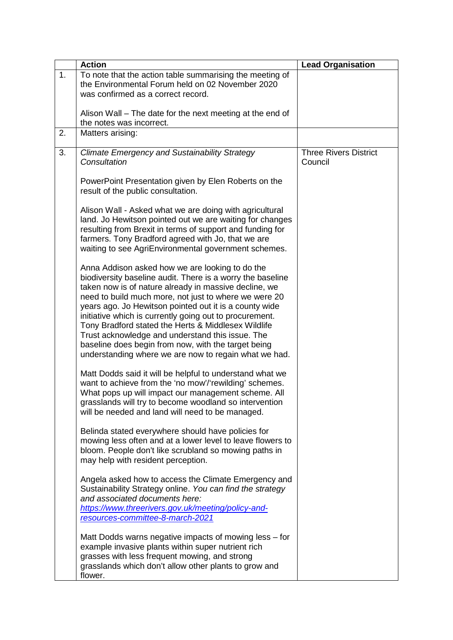|    | <b>Action</b>                                                                                                                                                                                                                                                                                                                                                                                                                                                                                                                                                                   | <b>Lead Organisation</b>                |
|----|---------------------------------------------------------------------------------------------------------------------------------------------------------------------------------------------------------------------------------------------------------------------------------------------------------------------------------------------------------------------------------------------------------------------------------------------------------------------------------------------------------------------------------------------------------------------------------|-----------------------------------------|
| 1. | To note that the action table summarising the meeting of<br>the Environmental Forum held on 02 November 2020<br>was confirmed as a correct record.                                                                                                                                                                                                                                                                                                                                                                                                                              |                                         |
|    | Alison Wall – The date for the next meeting at the end of<br>the notes was incorrect.                                                                                                                                                                                                                                                                                                                                                                                                                                                                                           |                                         |
| 2. | Matters arising:                                                                                                                                                                                                                                                                                                                                                                                                                                                                                                                                                                |                                         |
| 3. | <b>Climate Emergency and Sustainability Strategy</b><br>Consultation                                                                                                                                                                                                                                                                                                                                                                                                                                                                                                            | <b>Three Rivers District</b><br>Council |
|    | PowerPoint Presentation given by Elen Roberts on the<br>result of the public consultation.                                                                                                                                                                                                                                                                                                                                                                                                                                                                                      |                                         |
|    | Alison Wall - Asked what we are doing with agricultural<br>land. Jo Hewitson pointed out we are waiting for changes<br>resulting from Brexit in terms of support and funding for<br>farmers. Tony Bradford agreed with Jo, that we are<br>waiting to see AgriEnvironmental government schemes.                                                                                                                                                                                                                                                                                  |                                         |
|    | Anna Addison asked how we are looking to do the<br>biodiversity baseline audit. There is a worry the baseline<br>taken now is of nature already in massive decline, we<br>need to build much more, not just to where we were 20<br>years ago. Jo Hewitson pointed out it is a county wide<br>initiative which is currently going out to procurement.<br>Tony Bradford stated the Herts & Middlesex Wildlife<br>Trust acknowledge and understand this issue. The<br>baseline does begin from now, with the target being<br>understanding where we are now to regain what we had. |                                         |
|    | Matt Dodds said it will be helpful to understand what we<br>want to achieve from the 'no mow'/'rewilding' schemes.<br>What pops up will impact our management scheme. All<br>grasslands will try to become woodland so intervention<br>will be needed and land will need to be managed.                                                                                                                                                                                                                                                                                         |                                         |
|    | Belinda stated everywhere should have policies for<br>mowing less often and at a lower level to leave flowers to<br>bloom. People don't like scrubland so mowing paths in<br>may help with resident perception.                                                                                                                                                                                                                                                                                                                                                                 |                                         |
|    | Angela asked how to access the Climate Emergency and<br>Sustainability Strategy online. You can find the strategy<br>and associated documents here:<br>https://www.threerivers.gov.uk/meeting/policy-and-<br>resources-committee-8-march-2021                                                                                                                                                                                                                                                                                                                                   |                                         |
|    | Matt Dodds warns negative impacts of mowing less – for<br>example invasive plants within super nutrient rich<br>grasses with less frequent mowing, and strong<br>grasslands which don't allow other plants to grow and<br>flower.                                                                                                                                                                                                                                                                                                                                               |                                         |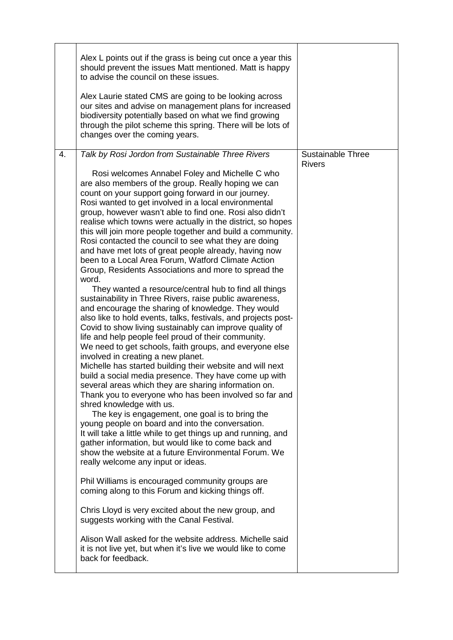|    | Alex L points out if the grass is being cut once a year this<br>should prevent the issues Matt mentioned. Matt is happy<br>to advise the council on these issues.<br>Alex Laurie stated CMS are going to be looking across<br>our sites and advise on management plans for increased<br>biodiversity potentially based on what we find growing<br>through the pilot scheme this spring. There will be lots of<br>changes over the coming years.                                                                                                                                                                                                                                                                                                                                                                                                                                                                                                                                                                                                                                                                                                                                                                                                                                                                                                                                                                                                                                                                                                                                                                                                                                                                                                                                                                                                                                                                                                                                                                                                                                                                                              |                                           |
|----|----------------------------------------------------------------------------------------------------------------------------------------------------------------------------------------------------------------------------------------------------------------------------------------------------------------------------------------------------------------------------------------------------------------------------------------------------------------------------------------------------------------------------------------------------------------------------------------------------------------------------------------------------------------------------------------------------------------------------------------------------------------------------------------------------------------------------------------------------------------------------------------------------------------------------------------------------------------------------------------------------------------------------------------------------------------------------------------------------------------------------------------------------------------------------------------------------------------------------------------------------------------------------------------------------------------------------------------------------------------------------------------------------------------------------------------------------------------------------------------------------------------------------------------------------------------------------------------------------------------------------------------------------------------------------------------------------------------------------------------------------------------------------------------------------------------------------------------------------------------------------------------------------------------------------------------------------------------------------------------------------------------------------------------------------------------------------------------------------------------------------------------------|-------------------------------------------|
| 4. | Talk by Rosi Jordon from Sustainable Three Rivers<br>Rosi welcomes Annabel Foley and Michelle C who<br>are also members of the group. Really hoping we can<br>count on your support going forward in our journey.<br>Rosi wanted to get involved in a local environmental<br>group, however wasn't able to find one. Rosi also didn't<br>realise which towns were actually in the district, so hopes<br>this will join more people together and build a community.<br>Rosi contacted the council to see what they are doing<br>and have met lots of great people already, having now<br>been to a Local Area Forum, Watford Climate Action<br>Group, Residents Associations and more to spread the<br>word.<br>They wanted a resource/central hub to find all things<br>sustainability in Three Rivers, raise public awareness,<br>and encourage the sharing of knowledge. They would<br>also like to hold events, talks, festivals, and projects post-<br>Covid to show living sustainably can improve quality of<br>life and help people feel proud of their community.<br>We need to get schools, faith groups, and everyone else<br>involved in creating a new planet.<br>Michelle has started building their website and will next<br>build a social media presence. They have come up with<br>several areas which they are sharing information on.<br>Thank you to everyone who has been involved so far and<br>shred knowledge with us.<br>The key is engagement, one goal is to bring the<br>young people on board and into the conversation.<br>It will take a little while to get things up and running, and<br>gather information, but would like to come back and<br>show the website at a future Environmental Forum. We<br>really welcome any input or ideas.<br>Phil Williams is encouraged community groups are<br>coming along to this Forum and kicking things off.<br>Chris Lloyd is very excited about the new group, and<br>suggests working with the Canal Festival.<br>Alison Wall asked for the website address. Michelle said<br>it is not live yet, but when it's live we would like to come<br>back for feedback. | <b>Sustainable Three</b><br><b>Rivers</b> |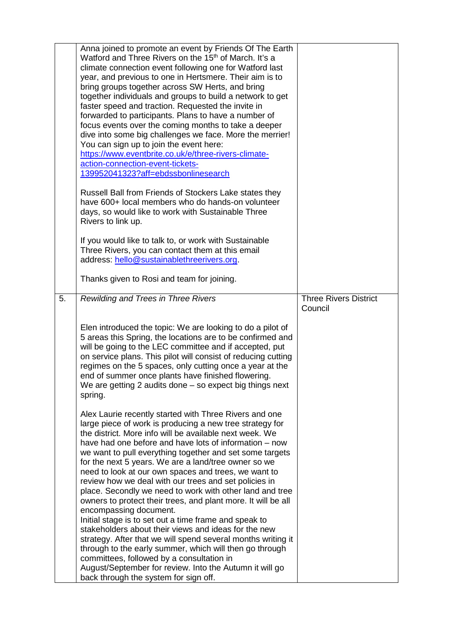|    | Anna joined to promote an event by Friends Of The Earth<br>Watford and Three Rivers on the 15 <sup>th</sup> of March. It's a<br>climate connection event following one for Watford last<br>year, and previous to one in Hertsmere. Their aim is to<br>bring groups together across SW Herts, and bring<br>together individuals and groups to build a network to get<br>faster speed and traction. Requested the invite in<br>forwarded to participants. Plans to have a number of<br>focus events over the coming months to take a deeper<br>dive into some big challenges we face. More the merrier!<br>You can sign up to join the event here:<br>https://www.eventbrite.co.uk/e/three-rivers-climate-<br>action-connection-event-tickets-<br>139952041323?aff=ebdssbonlinesearch |                                         |
|----|-------------------------------------------------------------------------------------------------------------------------------------------------------------------------------------------------------------------------------------------------------------------------------------------------------------------------------------------------------------------------------------------------------------------------------------------------------------------------------------------------------------------------------------------------------------------------------------------------------------------------------------------------------------------------------------------------------------------------------------------------------------------------------------|-----------------------------------------|
|    | Russell Ball from Friends of Stockers Lake states they<br>have 600+ local members who do hands-on volunteer<br>days, so would like to work with Sustainable Three<br>Rivers to link up.                                                                                                                                                                                                                                                                                                                                                                                                                                                                                                                                                                                             |                                         |
|    | If you would like to talk to, or work with Sustainable<br>Three Rivers, you can contact them at this email<br>address: hello@sustainablethreerivers.org.                                                                                                                                                                                                                                                                                                                                                                                                                                                                                                                                                                                                                            |                                         |
|    | Thanks given to Rosi and team for joining.                                                                                                                                                                                                                                                                                                                                                                                                                                                                                                                                                                                                                                                                                                                                          |                                         |
| 5. | Rewilding and Trees in Three Rivers                                                                                                                                                                                                                                                                                                                                                                                                                                                                                                                                                                                                                                                                                                                                                 | <b>Three Rivers District</b><br>Council |
|    | Elen introduced the topic: We are looking to do a pilot of<br>5 areas this Spring, the locations are to be confirmed and<br>will be going to the LEC committee and if accepted, put<br>on service plans. This pilot will consist of reducing cutting<br>regimes on the 5 spaces, only cutting once a year at the<br>end of summer once plants have finished flowering.<br>We are getting 2 audits done $-$ so expect big things next<br>spring.                                                                                                                                                                                                                                                                                                                                     |                                         |
|    | Alex Laurie recently started with Three Rivers and one<br>large piece of work is producing a new tree strategy for<br>the district. More info will be available next week. We<br>have had one before and have lots of information – now<br>we want to pull everything together and set some targets<br>for the next 5 years. We are a land/tree owner so we<br>need to look at our own spaces and trees, we want to<br>review how we deal with our trees and set policies in<br>place. Secondly we need to work with other land and tree<br>owners to protect their trees, and plant more. It will be all<br>encompassing document.<br>Initial stage is to set out a time frame and speak to<br>stakeholders about their views and ideas for the new                                |                                         |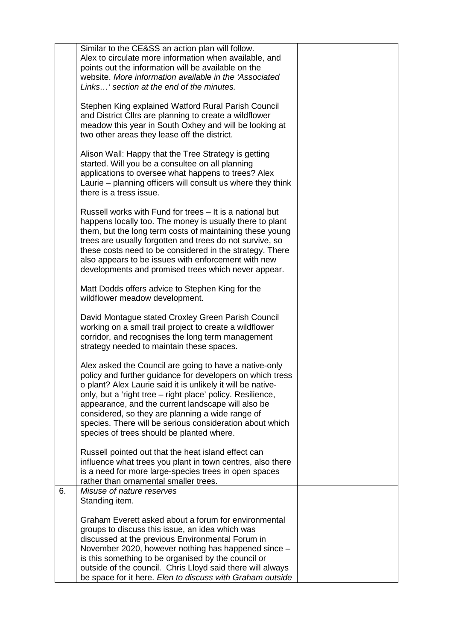|    | Similar to the CE&SS an action plan will follow.<br>Alex to circulate more information when available, and<br>points out the information will be available on the<br>website. More information available in the 'Associated<br>Links' section at the end of the minutes.                                                                                                                                                                                            |  |
|----|---------------------------------------------------------------------------------------------------------------------------------------------------------------------------------------------------------------------------------------------------------------------------------------------------------------------------------------------------------------------------------------------------------------------------------------------------------------------|--|
|    | Stephen King explained Watford Rural Parish Council<br>and District Cllrs are planning to create a wildflower<br>meadow this year in South Oxhey and will be looking at<br>two other areas they lease off the district.                                                                                                                                                                                                                                             |  |
|    | Alison Wall: Happy that the Tree Strategy is getting<br>started. Will you be a consultee on all planning<br>applications to oversee what happens to trees? Alex<br>Laurie – planning officers will consult us where they think<br>there is a tress issue.                                                                                                                                                                                                           |  |
|    | Russell works with Fund for trees - It is a national but<br>happens locally too. The money is usually there to plant<br>them, but the long term costs of maintaining these young<br>trees are usually forgotten and trees do not survive, so<br>these costs need to be considered in the strategy. There<br>also appears to be issues with enforcement with new<br>developments and promised trees which never appear.                                              |  |
|    | Matt Dodds offers advice to Stephen King for the<br>wildflower meadow development.                                                                                                                                                                                                                                                                                                                                                                                  |  |
|    | David Montague stated Croxley Green Parish Council<br>working on a small trail project to create a wildflower<br>corridor, and recognises the long term management<br>strategy needed to maintain these spaces.                                                                                                                                                                                                                                                     |  |
|    | Alex asked the Council are going to have a native-only<br>policy and further guidance for developers on which tress<br>o plant? Alex Laurie said it is unlikely it will be native-<br>only, but a 'right tree - right place' policy. Resilience,<br>appearance, and the current landscape will also be<br>considered, so they are planning a wide range of<br>species. There will be serious consideration about which<br>species of trees should be planted where. |  |
|    | Russell pointed out that the heat island effect can<br>influence what trees you plant in town centres, also there<br>is a need for more large-species trees in open spaces<br>rather than ornamental smaller trees.                                                                                                                                                                                                                                                 |  |
| 6. | Misuse of nature reserves<br>Standing item.                                                                                                                                                                                                                                                                                                                                                                                                                         |  |
|    | Graham Everett asked about a forum for environmental<br>groups to discuss this issue, an idea which was<br>discussed at the previous Environmental Forum in<br>November 2020, however nothing has happened since -<br>is this something to be organised by the council or<br>outside of the council. Chris Lloyd said there will always<br>be space for it here. Elen to discuss with Graham outside                                                                |  |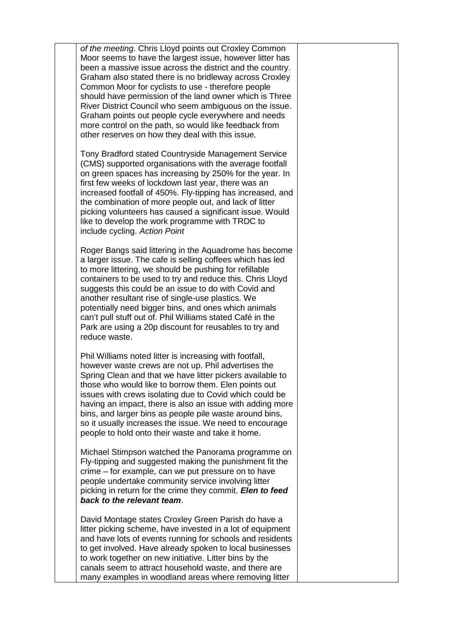*of the meeting*. Chris Lloyd points out Croxley Common Moor seems to have the largest issue, however litter has been a massive issue across the district and the country. Graham also stated there is no bridleway across Croxley Common Moor for cyclists to use - therefore people should have permission of the land owner which is Three River District Council who seem ambiguous on the issue. Graham points out people cycle everywhere and needs more control on the path, so would like feedback from other reserves on how they deal with this issue.

Tony Bradford stated Countryside Management Service (CMS) supported organisations with the average footfall on green spaces has increasing by 250% for the year. In first few weeks of lockdown last year, there was an increased footfall of 450%. Fly-tipping has increased, and the combination of more people out, and lack of litter picking volunteers has caused a significant issue. Would like to develop the work programme with TRDC to include cycling. *Action Point*

Roger Bangs said littering in the Aquadrome has become a larger issue. The cafe is selling coffees which has led to more littering, we should be pushing for refillable containers to be used to try and reduce this. Chris Lloyd suggests this could be an issue to do with Covid and another resultant rise of single-use plastics. We potentially need bigger bins, and ones which animals can't pull stuff out of. Phil Williams stated Café in the Park are using a 20p discount for reusables to try and reduce waste.

Phil Williams noted litter is increasing with footfall, however waste crews are not up. Phil advertises the Spring Clean and that we have litter pickers available to those who would like to borrow them. Elen points out issues with crews isolating due to Covid which could be having an impact, there is also an issue with adding more bins, and larger bins as people pile waste around bins. so it usually increases the issue. We need to encourage people to hold onto their waste and take it home.

Michael Stimpson watched the Panorama programme on Fly-tipping and suggested making the punishment fit the crime – for example, can we put pressure on to have people undertake community service involving litter picking in return for the crime they commit. *Elen to feed back to the relevant team*.

David Montage states Croxley Green Parish do have a litter picking scheme, have invested in a lot of equipment and have lots of events running for schools and residents to get involved. Have already spoken to local businesses to work together on new initiative. Litter bins by the canals seem to attract household waste, and there are many examples in woodland areas where removing litter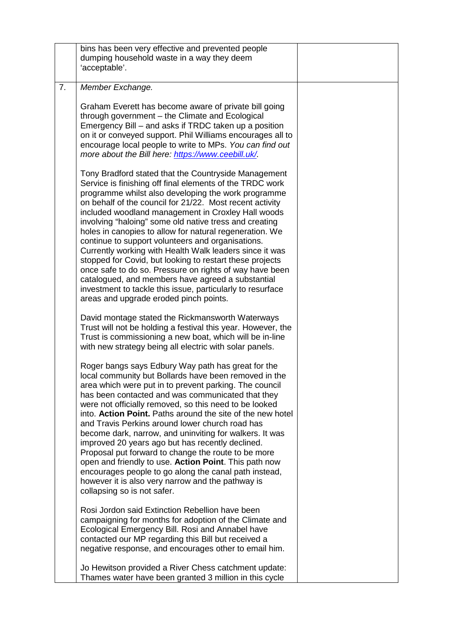|    | bins has been very effective and prevented people<br>dumping household waste in a way they deem<br>'acceptable'.                                                                                                                                                                                                                                                                                                                                                                                                                                                                                                                                                                                                                                                                                                   |  |
|----|--------------------------------------------------------------------------------------------------------------------------------------------------------------------------------------------------------------------------------------------------------------------------------------------------------------------------------------------------------------------------------------------------------------------------------------------------------------------------------------------------------------------------------------------------------------------------------------------------------------------------------------------------------------------------------------------------------------------------------------------------------------------------------------------------------------------|--|
| 7. | Member Exchange.                                                                                                                                                                                                                                                                                                                                                                                                                                                                                                                                                                                                                                                                                                                                                                                                   |  |
|    | Graham Everett has become aware of private bill going<br>through government - the Climate and Ecological<br>Emergency Bill – and asks if TRDC taken up a position<br>on it or conveyed support. Phil Williams encourages all to<br>encourage local people to write to MPs. You can find out<br>more about the Bill here: https://www.ceebill.uk/.                                                                                                                                                                                                                                                                                                                                                                                                                                                                  |  |
|    | Tony Bradford stated that the Countryside Management<br>Service is finishing off final elements of the TRDC work<br>programme whilst also developing the work programme<br>on behalf of the council for 21/22. Most recent activity<br>included woodland management in Croxley Hall woods<br>involving "haloing" some old native tress and creating<br>holes in canopies to allow for natural regeneration. We<br>continue to support volunteers and organisations.<br>Currently working with Health Walk leaders since it was<br>stopped for Covid, but looking to restart these projects<br>once safe to do so. Pressure on rights of way have been<br>catalogued, and members have agreed a substantial<br>investment to tackle this issue, particularly to resurface<br>areas and upgrade eroded pinch points. |  |
|    | David montage stated the Rickmansworth Waterways<br>Trust will not be holding a festival this year. However, the<br>Trust is commissioning a new boat, which will be in-line<br>with new strategy being all electric with solar panels.                                                                                                                                                                                                                                                                                                                                                                                                                                                                                                                                                                            |  |
|    | Roger bangs says Edbury Way path has great for the<br>local community but Bollards have been removed in the<br>area which were put in to prevent parking. The council<br>has been contacted and was communicated that they<br>were not officially removed, so this need to be looked<br>into. Action Point. Paths around the site of the new hotel<br>and Travis Perkins around lower church road has<br>become dark, narrow, and uninviting for walkers. It was<br>improved 20 years ago but has recently declined.<br>Proposal put forward to change the route to be more<br>open and friendly to use. Action Point. This path now<br>encourages people to go along the canal path instead,<br>however it is also very narrow and the pathway is<br>collapsing so is not safer.                                  |  |
|    | Rosi Jordon said Extinction Rebellion have been<br>campaigning for months for adoption of the Climate and<br>Ecological Emergency Bill. Rosi and Annabel have<br>contacted our MP regarding this Bill but received a<br>negative response, and encourages other to email him.<br>Jo Hewitson provided a River Chess catchment update:<br>Thames water have been granted 3 million in this cycle                                                                                                                                                                                                                                                                                                                                                                                                                    |  |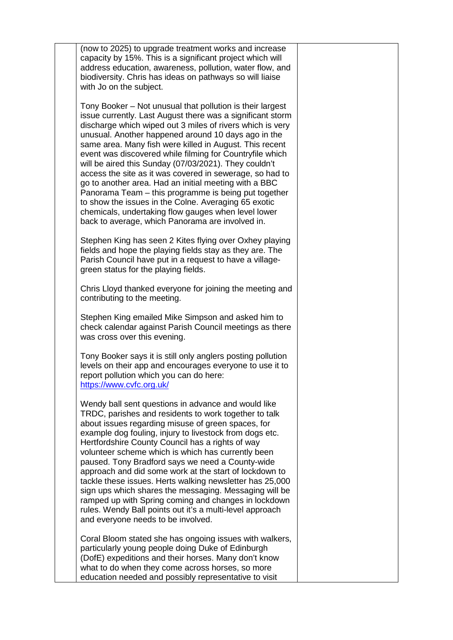(now to 2025) to upgrade treatment works and increase capacity by 15%. This is a significant project which will address education, awareness, pollution, water flow, and biodiversity. Chris has ideas on pathways so will liaise with Jo on the subject.

Tony Booker – Not unusual that pollution is their largest issue currently. Last August there was a significant storm discharge which wiped out 3 miles of rivers which is very unusual. Another happened around 10 days ago in the same area. Many fish were killed in August. This recent event was discovered while filming for Countryfile which will be aired this Sunday (07/03/2021). They couldn't access the site as it was covered in sewerage, so had to go to another area. Had an initial meeting with a BBC Panorama Team – this programme is being put together to show the issues in the Colne. Averaging 65 exotic chemicals, undertaking flow gauges when level lower back to average, which Panorama are involved in.

Stephen King has seen 2 Kites flying over Oxhey playing fields and hope the playing fields stay as they are. The Parish Council have put in a request to have a villagegreen status for the playing fields.

Chris Lloyd thanked everyone for joining the meeting and contributing to the meeting.

Stephen King emailed Mike Simpson and asked him to check calendar against Parish Council meetings as there was cross over this evening.

Tony Booker says it is still only anglers posting pollution levels on their app and encourages everyone to use it to report pollution which you can do here: <https://www.cvfc.org.uk/>

Wendy ball sent questions in advance and would like TRDC, parishes and residents to work together to talk about issues regarding misuse of green spaces, for example dog fouling, injury to livestock from dogs etc. Hertfordshire County Council has a rights of way volunteer scheme which is which has currently been paused. Tony Bradford says we need a County-wide approach and did some work at the start of lockdown to tackle these issues. Herts walking newsletter has 25,000 sign ups which shares the messaging. Messaging will be ramped up with Spring coming and changes in lockdown rules. Wendy Ball points out it's a multi-level approach and everyone needs to be involved.

Coral Bloom stated she has ongoing issues with walkers, particularly young people doing Duke of Edinburgh (DofE) expeditions and their horses. Many don't know what to do when they come across horses, so more education needed and possibly representative to visit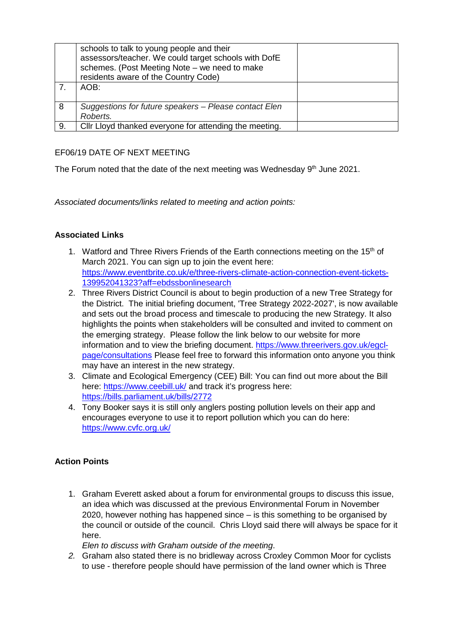|    | schools to talk to young people and their<br>assessors/teacher. We could target schools with DofE<br>schemes. (Post Meeting Note - we need to make<br>residents aware of the Country Code) |
|----|--------------------------------------------------------------------------------------------------------------------------------------------------------------------------------------------|
|    | AOB:                                                                                                                                                                                       |
| 8  | Suggestions for future speakers – Please contact Elen<br>Roberts.                                                                                                                          |
| 9. | Cllr Lloyd thanked everyone for attending the meeting.                                                                                                                                     |

## EF06/19 DATE OF NEXT MEETING

The Forum noted that the date of the next meeting was Wednesday  $9<sup>th</sup>$  June 2021.

*Associated documents/links related to meeting and action points:* 

## **Associated Links**

- 1. Watford and Three Rivers Friends of the Earth connections meeting on the  $15<sup>th</sup>$  of March 2021. You can sign up to join the event here: [https://www.eventbrite.co.uk/e/three-rivers-climate-action-connection-event-tickets-](https://www.eventbrite.co.uk/e/three-rivers-climate-action-connection-event-tickets-139952041323?aff=ebdssbonlinesearch)[139952041323?aff=ebdssbonlinesearch](https://www.eventbrite.co.uk/e/three-rivers-climate-action-connection-event-tickets-139952041323?aff=ebdssbonlinesearch)
- 2. Three Rivers District Council is about to begin production of a new Tree Strategy for the District. The initial briefing document, 'Tree Strategy 2022-2027', is now available and sets out the broad process and timescale to producing the new Strategy. It also highlights the points when stakeholders will be consulted and invited to comment on the emerging strategy. Please follow the link below to our website for more information and to view the briefing document. [https://www.threerivers.gov.uk/egcl](https://www.threerivers.gov.uk/egcl-page/consultations)[page/consultations](https://www.threerivers.gov.uk/egcl-page/consultations) Please feel free to forward this information onto anyone you think may have an interest in the new strategy.
- 3. Climate and Ecological Emergency (CEE) Bill: You can find out more about the Bill here:<https://www.ceebill.uk/> and track it's progress here: <https://bills.parliament.uk/bills/2772>
- 4. Tony Booker says it is still only anglers posting pollution levels on their app and encourages everyone to use it to report pollution which you can do here: <https://www.cvfc.org.uk/>

## **Action Points**

1. Graham Everett asked about a forum for environmental groups to discuss this issue, an idea which was discussed at the previous Environmental Forum in November 2020, however nothing has happened since – is this something to be organised by the council or outside of the council. Chris Lloyd said there will always be space for it here.

*Elen to discuss with Graham outside of the meeting*.

*2.* Graham also stated there is no bridleway across Croxley Common Moor for cyclists to use - therefore people should have permission of the land owner which is Three